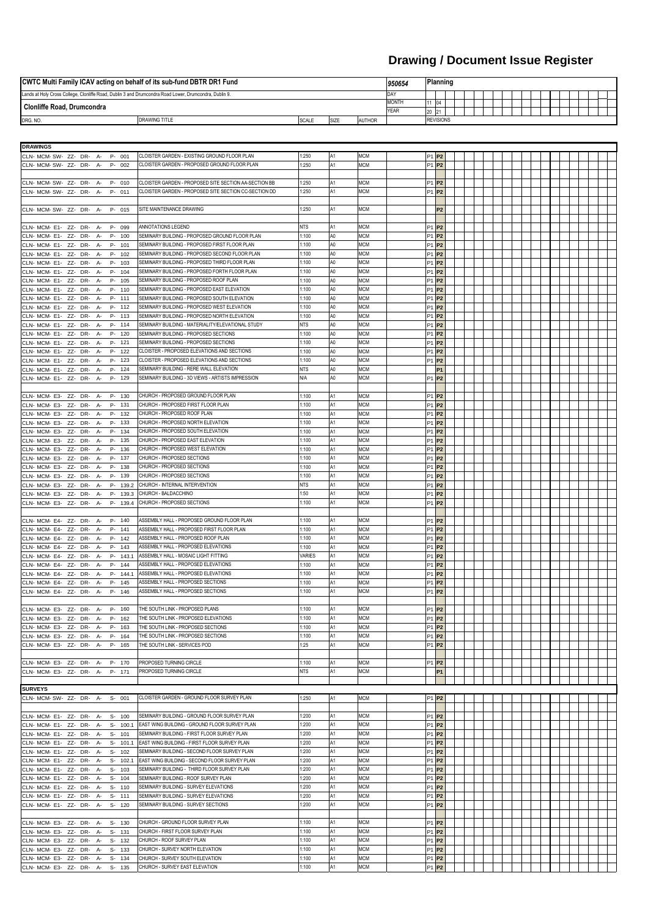| <b>CWTC Multi Family ICAV acting on behalf of its sub-fund DBTR DR1 Fund</b>                           |  |  |              |             | 1950654     | <b>Planning</b> |  |                  |  |  |  |  |  |  |  |  |  |  |  |
|--------------------------------------------------------------------------------------------------------|--|--|--------------|-------------|-------------|-----------------|--|------------------|--|--|--|--|--|--|--|--|--|--|--|
| Lands at Holy Cross College, Clonliffe Road, Dublin 3 and Drumcondra Road Lower, Drumcondra, Dublin 9. |  |  |              |             | <b>IDAY</b> |                 |  |                  |  |  |  |  |  |  |  |  |  |  |  |
|                                                                                                        |  |  | <b>MONTH</b> |             | 104         |                 |  |                  |  |  |  |  |  |  |  |  |  |  |  |
| Clonliffe Road, Drumcondra                                                                             |  |  |              | <b>YEAR</b> |             |                 |  |                  |  |  |  |  |  |  |  |  |  |  |  |
| DRG. NO.<br><b>SCALE</b><br><b>AUTHOR</b><br><b>DRAWING TITLE</b><br>SIZE                              |  |  |              |             |             |                 |  | <b>REVISIONS</b> |  |  |  |  |  |  |  |  |  |  |  |

| <b>DRAWINGS</b><br>CLN- MCM- SW- ZZ- DR- A-<br>P- 001          |                                                       |               |                |            |                               |                |  |  |  |  |  |
|----------------------------------------------------------------|-------------------------------------------------------|---------------|----------------|------------|-------------------------------|----------------|--|--|--|--|--|
|                                                                |                                                       |               |                |            |                               |                |  |  |  |  |  |
|                                                                | CLOISTER GARDEN - EXISTING GROUND FLOOR PLAN          | 1:250         | A1             | <b>MCM</b> | P1 P2                         |                |  |  |  |  |  |
| CLN- MCM- SW- ZZ- DR- A- P- 002                                | CLOISTER GARDEN - PROPOSED GROUND FLOOR PLAN          | 1:250         |                | <b>MCM</b> | <b>P1 P2</b>                  |                |  |  |  |  |  |
|                                                                |                                                       |               |                |            |                               |                |  |  |  |  |  |
| CLN-MCM-SW-ZZ-DR-A-P-010                                       | CLOISTER GARDEN - PROPOSED SITE SECTION AA-SECTION BB | 1:250         |                | <b>MCM</b> | P1 P2                         |                |  |  |  |  |  |
| CLN- MCM- SW- ZZ- DR- A- P- 011                                | CLOISTER GARDEN - PROPOSED SITE SECTION CC-SECTION DD | 1:250         |                | ИСМ        | P1 P2                         |                |  |  |  |  |  |
|                                                                |                                                       |               |                |            |                               |                |  |  |  |  |  |
|                                                                |                                                       |               |                |            |                               |                |  |  |  |  |  |
| CLN-MCM-SW-ZZ-DR-A-P-015                                       | SITE MAINTENANCE DRAWING                              | 1:250         |                | МСМ        |                               | P <sub>2</sub> |  |  |  |  |  |
|                                                                |                                                       |               |                |            |                               |                |  |  |  |  |  |
| CLN- MCM E1- ZZ- DR- A- P- 099                                 | ANNOTATIONS LEGEND                                    | NTS           |                | <b>MCM</b> | $P1$ $P2$                     |                |  |  |  |  |  |
| CLN- MCM E1- ZZ- DR- A- P- 100                                 | SEMINARY BUILDING - PROPOSED GROUND FLOOR PLAN        | 1:100         |                | <b>MCM</b> | $P1$ $P2$                     |                |  |  |  |  |  |
| CLN-MCM-E1-ZZ-DR-A-<br>P- 101                                  | SEMINARY BUILDING - PROPOSED FIRST FLOOR PLAN         | 1:100         | A0             | <b>MCM</b> | $P1$ $P2$                     |                |  |  |  |  |  |
| CLN- MCM- E1- ZZ- DR- A- P- 102                                | SEMINARY BUILDING - PROPOSED SECOND FLOOR PLAN        | 1:100         | A0             | <b>MCM</b> | P1 P2                         |                |  |  |  |  |  |
| CLN-MCM E1- ZZ- DR- A-<br>P- 103                               | SEMINARY BUILDING - PROPOSED THIRD FLOOR PLAN         | 1:100         | A0             | <b>MCM</b> | $P1$ $P2$                     |                |  |  |  |  |  |
|                                                                | SEMINARY BUILDING - PROPOSED FORTH FLOOR PLAN         | 1:100         | A0             | MCM        |                               |                |  |  |  |  |  |
| CLN-MCM-E1-ZZ-DR-A-<br>P- 104                                  |                                                       |               |                |            | P1 P2                         |                |  |  |  |  |  |
| CLN- MCM- E1- ZZ- DR- A- P- 105                                | SEMINARY BUILDING - PROPOSED ROOF PLAN                | 1:100         | A <sub>0</sub> | <b>MCM</b> | P1 P2                         |                |  |  |  |  |  |
| CLN-MCM-E1-ZZ-DR-A-<br>P- 110                                  | SEMINARY BUILDING - PROPOSED EAST ELEVATION           | 1:100         | A <sub>0</sub> | <b>MCM</b> | <b>P1 P2</b>                  |                |  |  |  |  |  |
| CLN- MCM- E1- ZZ- DR- A- P- 111                                | SEMINARY BUILDING - PROPOSED SOUTH ELEVATION          | 1:100         | A <sub>0</sub> | <b>MCM</b> | P1 P2                         |                |  |  |  |  |  |
| CLN- MCM- E1- ZZ- DR- A- P- 112                                | SEMINARY BUILDING - PROPOSED WEST ELEVATION           | 1:100         | A <sub>0</sub> | <b>MCM</b> | $P1$ $P2$                     |                |  |  |  |  |  |
| CLN- MCM- E1- ZZ- DR- A- P- 113                                | SEMINARY BUILDING - PROPOSED NORTH ELEVATION          | 1:100         | A0             | <b>MCM</b> | P1 P2                         |                |  |  |  |  |  |
| CLN- MCM- E1- ZZ- DR- A- P- 114                                | SEMINARY BUILDING - MATERIALITY/ELEVATIONAL STUDY     | NTS           | A0             | <b>MCM</b> | P1 P2                         |                |  |  |  |  |  |
| CLN- MCM- E1- ZZ- DR- A- P- 120                                | SEMINARY BUILDING - PROPOSED SECTIONS                 | 1:100         | A0             | <b>MCM</b> | <b>P1 P2</b>                  |                |  |  |  |  |  |
| CLN- MCM- E1- ZZ- DR- A- P- 121                                | SEMINARY BUILDING - PROPOSED SECTIONS                 | 1:100         | A0             | <b>MCM</b> | P1 P2                         |                |  |  |  |  |  |
|                                                                |                                                       |               |                |            |                               |                |  |  |  |  |  |
| CLN- MCM E1- ZZ- DR- A- P- 122                                 | CLOISTER - PROPOSED ELEVATIONS AND SECTIONS           | 1:100         | A0             | <b>MCM</b> | P1 P2                         |                |  |  |  |  |  |
| CLN- MCM- E1- ZZ- DR- A- P- 123                                | CLOISTER - PROPOSED ELEVATIONS AND SECTIONS           | 1:100         | A0             | <b>MCM</b> | P1 P2                         |                |  |  |  |  |  |
| CLN- MCM- E1- ZZ- DR- A- P- 124                                | SEMINARY BUILDING - RERE WALL ELEVATION               | <b>NTS</b>    | A0             | <b>MCM</b> |                               | P <sub>1</sub> |  |  |  |  |  |
| CLN- MCM E1- ZZ- DR- A- P- 129                                 | SEMINARY BUILDING - 3D VIEWS - ARTISTS IMPRESSION     | N/A           | A0             | MCM        | $P1$ $P2$                     |                |  |  |  |  |  |
|                                                                |                                                       |               |                |            |                               |                |  |  |  |  |  |
| CLN- MCM E3- ZZ- DR- A- P- 130                                 | CHURCH - PROPOSED GROUND FLOOR PLAN                   | 1:100         |                | <b>MCM</b> | P1 P2                         |                |  |  |  |  |  |
| CLN- MCM- E3- ZZ- DR- A- P- 131                                | CHURCH - PROPOSED FIRST FLOOR PLAN                    | 1:100         |                | <b>MCM</b> | $P1$ $P2$                     |                |  |  |  |  |  |
| CLN- MCM- E3- ZZ- DR- A- P- 132                                | CHURCH - PROPOSED ROOF PLAN                           | 1:100         |                | <b>MCM</b> | P1 P2                         |                |  |  |  |  |  |
|                                                                | CHURCH - PROPOSED NORTH ELEVATION                     |               |                | <b>MCM</b> | $P1$ $P2$                     |                |  |  |  |  |  |
| CLN- MCM- E3- ZZ- DR- A- P- 133                                |                                                       | 1:100         |                |            |                               |                |  |  |  |  |  |
| CLN- MCM- E3- ZZ- DR- A- P- 134                                | CHURCH - PROPOSED SOUTH ELEVATION                     | 1:100         |                | MCM        | <b>P1 P2</b>                  |                |  |  |  |  |  |
| CLN- MCM- E3- ZZ- DR- A- P- 135                                | CHURCH - PROPOSED EAST ELEVATION                      | 1:100         |                | МСМ        | P1 P2                         |                |  |  |  |  |  |
| CLN-MCM E3- ZZ-DR- A- P- 136                                   | CHURCH - PROPOSED WEST ELEVATION                      | 1:100         |                | <b>MCM</b> | P1 P2                         |                |  |  |  |  |  |
| CLN- MCM- E3- ZZ- DR- A- P- 137                                | CHURCH - PROPOSED SECTIONS                            | 1:100         |                | <b>MCM</b> | $P1$ $P2$                     |                |  |  |  |  |  |
| CLN- MCM- E3- ZZ- DR- A- P- 138                                | CHURCH - PROPOSED SECTIONS                            | 1:100         |                | <b>MCM</b> | P1 P2                         |                |  |  |  |  |  |
| CLN- MCM- E3- ZZ- DR- A- P- 139                                | CHURCH - PROPOSED SECTIONS                            | 1:100         | A1             | <b>MCM</b> | $P1$ $P2$                     |                |  |  |  |  |  |
| CLN- MCM- E3- ZZ- DR- A- P- 139.2 CHURCH-INTERNAL INTERVENTION |                                                       | <b>NTS</b>    |                | <b>MCM</b> | P <sub>1</sub> P <sub>2</sub> |                |  |  |  |  |  |
| CLN-MCM-E3- ZZ- DR- A- P- 139.3 CHURCH-BALDACCHINO             |                                                       | 1:50          |                | MCM        | <b>P1 P2</b>                  |                |  |  |  |  |  |
|                                                                |                                                       |               |                |            |                               |                |  |  |  |  |  |
| CLN-MCM-E3- ZZ-DR- A- P- 139.4 CHURCH-PROPOSED SECTIONS        |                                                       | 1:100         |                | <b>MCM</b> | $P1$ $P2$                     |                |  |  |  |  |  |
|                                                                |                                                       |               |                |            |                               |                |  |  |  |  |  |
| CLN- MCM- E4- ZZ- DR- A- P- 140                                | ASSEMBLY HALL - PROPOSED GROUND FLOOR PLAN            | 1:100         |                | <b>MCM</b> | P <sub>1</sub> P <sub>2</sub> |                |  |  |  |  |  |
| CLN- MCM- E4- ZZ- DR- A- P- 141                                | ASSEMBLY HALL - PROPOSED FIRST FLOOR PLAN             | 1:100         |                | <b>MCM</b> | $P1$ $P2$                     |                |  |  |  |  |  |
| CLN- MCM E4- ZZ- DR- A- P- 142                                 | ASSEMBLY HALL - PROPOSED ROOF PLAN                    | 1:100         |                | <b>MCM</b> | P1 P2                         |                |  |  |  |  |  |
| CLN- MCM- E4- ZZ- DR- A- P- 143                                | ASSEMBLY HALL - PROPOSED ELEVATIONS                   | 1:100         |                | <b>MCM</b> | P1 P2                         |                |  |  |  |  |  |
|                                                                |                                                       |               |                |            |                               |                |  |  |  |  |  |
|                                                                | ASSEMBLY HALL - MOSAIC LIGHT FITTING                  | <b>VARIES</b> |                | <b>MCM</b> |                               |                |  |  |  |  |  |
| CLN- MCM- E4- ZZ- DR- A- P- 143.1                              |                                                       |               |                |            | P1 P2                         |                |  |  |  |  |  |
| CLN- MCM- E4- ZZ- DR- A- P- 144                                | ASSEMBLY HALL - PROPOSED ELEVATIONS                   | 1:100         |                | <b>MCM</b> | P1 P2                         |                |  |  |  |  |  |
| CLN- MCM- E4- ZZ- DR- A- P- 144.1                              | ASSEMBLY HALL - PROPOSED ELEVATIONS                   | 1:100         |                | <b>MCM</b> | <b>P1 P2</b>                  |                |  |  |  |  |  |
| CLN- MCM- E4- ZZ- DR- A- P- 145                                | ASSEMBLY HALL - PROPOSED SECTIONS                     | 1:100         |                | MCM        | $P1$ $P2$                     |                |  |  |  |  |  |
| CLN- MCM- E4- ZZ- DR- A- P- 146                                | ASSEMBLY HALL - PROPOSED SECTIONS                     | 1:100         | А1             | <b>MCM</b> | $P1$ $P2$                     |                |  |  |  |  |  |
|                                                                |                                                       |               |                |            |                               |                |  |  |  |  |  |
| CLN- MCM- E3- ZZ- DR- A- P- 160                                | THE SOUTH LINK - PROPOSED PLANS                       | 1:100         |                | <b>MCM</b> | <b>P1 P2</b>                  |                |  |  |  |  |  |
| CLN- MCM- E3- ZZ- DR- A- P- 162                                | THE SOUTH LINK - PROPOSED ELEVATIONS                  | 1:100         |                | <b>MCM</b> | $P1$ $P2$                     |                |  |  |  |  |  |
| CLN- MCM- E3- ZZ- DR- A- P- 163                                | THE SOUTH LINK - PROPOSED SECTIONS                    | 1:100         |                | <b>MCM</b> | P1 P2                         |                |  |  |  |  |  |
|                                                                |                                                       |               |                |            |                               |                |  |  |  |  |  |
| CLN- MCM- E3- ZZ- DR- A- P- 164                                | THE SOUTH LINK - PROPOSED SECTIONS                    | 1:100         |                | <b>MCM</b> | P1 P2                         |                |  |  |  |  |  |
| CLN- MCM- E3- ZZ- DR- A- P- 165                                | THE SOUTH LINK - SERVICES POD                         | 1:25          |                | МСМ        | P1 P2                         |                |  |  |  |  |  |
|                                                                |                                                       |               |                |            |                               |                |  |  |  |  |  |
| CLN- MCM- E3- ZZ- DR- A- P- 170                                | PROPOSED TURNING CIRCLE                               | 1:100         |                | MCM        | <b>P1 P2</b>                  |                |  |  |  |  |  |
| CLN- MCM- E3- ZZ- DR- A- P- 171                                | PROPOSED TURNING CIRCLE                               | <b>NTS</b>    |                | <b>MCM</b> |                               | <b>P1</b>      |  |  |  |  |  |
|                                                                |                                                       |               |                |            |                               |                |  |  |  |  |  |
| <b>SURVEYS</b>                                                 |                                                       |               |                |            |                               |                |  |  |  |  |  |
| CLN- MCM- SW- ZZ- DR- A- S- 001                                | CLOISTER GARDEN - GROUND FLOOR SURVEY PLAN            | 1:250         | A1             | <b>MCM</b> | $P1$ $P2$                     |                |  |  |  |  |  |
|                                                                |                                                       |               |                |            |                               |                |  |  |  |  |  |
| CLN- MCM- E1- ZZ- DR- A- S- 100                                | SEMINARY BUILDING - GROUND FLOOR SURVEY PLAN          | 1:200         |                | <b>MCM</b> | $P1$ $P2$                     |                |  |  |  |  |  |
|                                                                |                                                       |               |                |            |                               |                |  |  |  |  |  |
| CLN- MCM- E1- ZZ- DR- A- S- 100.1                              | <b>EAST WING BUILDING - GROUND FLOOR SURVEY PLAN</b>  | 1:200         |                | МСМ        | $P1$ $P2$                     |                |  |  |  |  |  |
| CLN- MCM- E1- ZZ- DR- A- S- 101                                | SEMINARY BUILDING - FIRST FLOOR SURVEY PLAN           | 1:200         |                | <b>MCM</b> | <b>P1 P2</b>                  |                |  |  |  |  |  |
| CLN- MCM- E1- ZZ- DR- A- S- 101.1                              | <b>EAST WING BUILDING - FIRST FLOOR SURVEY PLAN</b>   | 1:200         |                | MCM        | <b>P1 P2</b>                  |                |  |  |  |  |  |
| CLN- MCM- E1- ZZ- DR- A- S- 102                                | SEMINARY BUILDING - SECOND FLOOR SURVEY PLAN          | 1:200         |                | МСМ        | P1 P2                         |                |  |  |  |  |  |
| CLN- MCM- E1- ZZ- DR- A- S- 102.1                              | EAST WING BUILDING - SECOND FLOOR SURVEY PLAN         | 1:200         |                | <b>MCM</b> | <b>P1 P2</b>                  |                |  |  |  |  |  |
| CLN- MCM- E1- ZZ- DR- A- S- 103                                | SEMINARY BUILDING - THIRD FLOOR SURVEY PLAN           | 1:200         |                | <b>MCM</b> | <b>P1 P2</b>                  |                |  |  |  |  |  |
| CLN- MCM E1- ZZ- DR- A- S- 104                                 | SEMINARY BUILDING - ROOF SURVEY PLAN                  | 1:200         |                | <b>MCM</b> | $P1$ $P2$                     |                |  |  |  |  |  |
| $ICLN$ -MCM-E1-ZZ-DR-A-S-110                                   | SEMINARY BUILDING - SURVEY ELEVATIONS                 | 1:200         |                | <b>MCM</b> |                               |                |  |  |  |  |  |
|                                                                | SEMINARY BUILDING - SURVEY ELEVATIONS                 |               |                |            | P1 P2                         |                |  |  |  |  |  |
| CLN- MCM E1- ZZ- DR- A- S- 111                                 |                                                       | 1:200         |                | <b>MCM</b> | P1 P2                         |                |  |  |  |  |  |
| CLN- MCM E1- ZZ- DR- A- S- 120                                 | SEMINARY BUILDING - SURVEY SECTIONS                   | 1:200         |                | МСМ        | $P1$ $P2$                     |                |  |  |  |  |  |
|                                                                |                                                       |               |                |            |                               |                |  |  |  |  |  |
| CLN- MCM E3- ZZ- DR- A- S- 130                                 | CHURCH - GROUND FLOOR SURVEY PLAN                     | 1:100         | A1             | <b>MCM</b> | P1 <b>P2</b>                  |                |  |  |  |  |  |
| CLN- MCM- E3- ZZ- DR- A- S- 131                                | CHURCH - FIRST FLOOR SURVEY PLAN                      | 1:100         | A1             | MCM        | P <sub>1</sub> P <sub>2</sub> |                |  |  |  |  |  |
| CLN- MCM- E3- ZZ- DR- A- S- 132                                | CHURCH - ROOF SURVEY PLAN                             | 1:100         | A1             | <b>MCM</b> | P1 <b>P2</b>                  |                |  |  |  |  |  |
| CLN- MCM- E3- ZZ- DR- A- S- 133                                | CHURCH - SURVEY NORTH ELEVATION                       | 1:100         | A1             | <b>MCM</b> | $P1$ $P2$                     |                |  |  |  |  |  |
| CLN- MCM- E3- ZZ- DR- A- S- 134                                | CHURCH - SURVEY SOUTH ELEVATION                       | 1:100         | A1             | <b>MCM</b> | $P1$ $P2$                     |                |  |  |  |  |  |

## **Drawing / Document Issue Register**